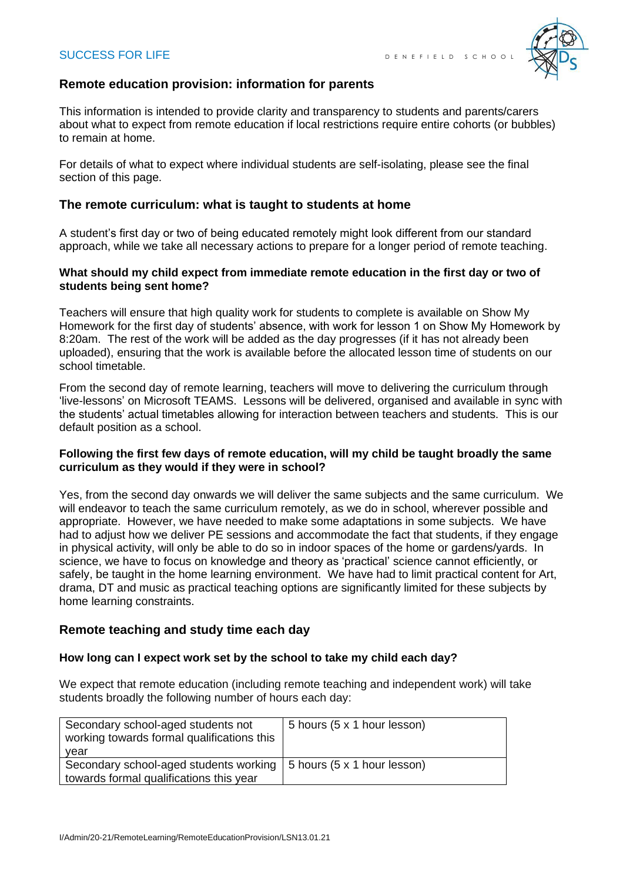

# **Remote education provision: information for parents**

This information is intended to provide clarity and transparency to students and parents/carers about what to expect from remote education if local restrictions require entire cohorts (or bubbles) to remain at home.

For details of what to expect where individual students are self-isolating, please see the final section of this page.

# **The remote curriculum: what is taught to students at home**

A student's first day or two of being educated remotely might look different from our standard approach, while we take all necessary actions to prepare for a longer period of remote teaching.

### **What should my child expect from immediate remote education in the first day or two of students being sent home?**

Teachers will ensure that high quality work for students to complete is available on Show My Homework for the first day of students' absence, with work for lesson 1 on Show My Homework by 8:20am. The rest of the work will be added as the day progresses (if it has not already been uploaded), ensuring that the work is available before the allocated lesson time of students on our school timetable.

From the second day of remote learning, teachers will move to delivering the curriculum through 'live-lessons' on Microsoft TEAMS. Lessons will be delivered, organised and available in sync with the students' actual timetables allowing for interaction between teachers and students. This is our default position as a school.

### **Following the first few days of remote education, will my child be taught broadly the same curriculum as they would if they were in school?**

Yes, from the second day onwards we will deliver the same subjects and the same curriculum. We will endeavor to teach the same curriculum remotely, as we do in school, wherever possible and appropriate. However, we have needed to make some adaptations in some subjects. We have had to adjust how we deliver PE sessions and accommodate the fact that students, if they engage in physical activity, will only be able to do so in indoor spaces of the home or gardens/yards. In science, we have to focus on knowledge and theory as 'practical' science cannot efficiently, or safely, be taught in the home learning environment. We have had to limit practical content for Art, drama, DT and music as practical teaching options are significantly limited for these subjects by home learning constraints.

# **Remote teaching and study time each day**

#### **How long can I expect work set by the school to take my child each day?**

We expect that remote education (including remote teaching and independent work) will take students broadly the following number of hours each day:

| Secondary school-aged students not<br>working towards formal qualifications this  | 5 hours (5 x 1 hour lesson) |
|-----------------------------------------------------------------------------------|-----------------------------|
| vear                                                                              |                             |
| Secondary school-aged students working<br>towards formal qualifications this year | 5 hours (5 x 1 hour lesson) |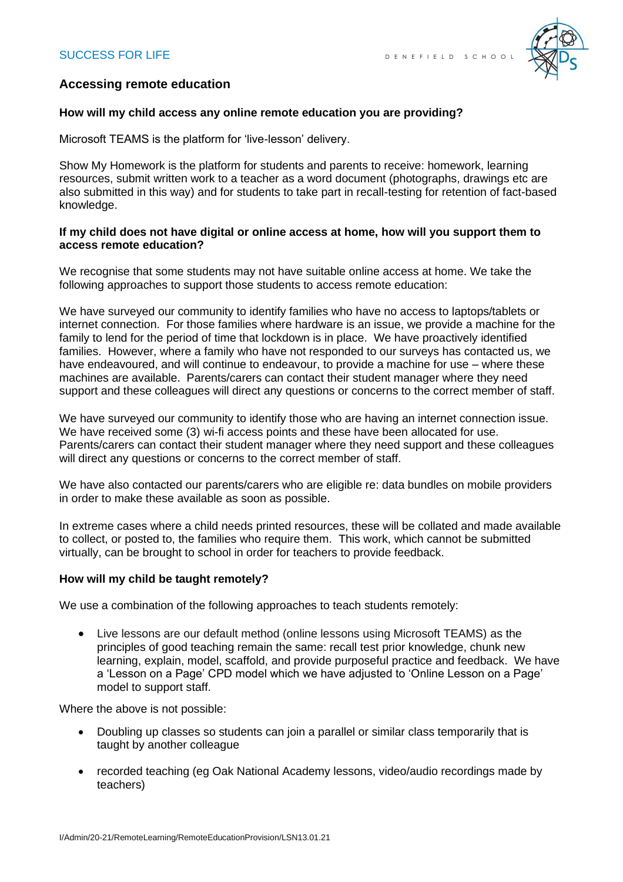

# **Accessing remote education**

### **How will my child access any online remote education you are providing?**

Microsoft TEAMS is the platform for 'live-lesson' delivery.

Show My Homework is the platform for students and parents to receive: homework, learning resources, submit written work to a teacher as a word document (photographs, drawings etc are also submitted in this way) and for students to take part in recall-testing for retention of fact-based knowledge.

### **If my child does not have digital or online access at home, how will you support them to access remote education?**

We recognise that some students may not have suitable online access at home. We take the following approaches to support those students to access remote education:

We have surveyed our community to identify families who have no access to laptops/tablets or internet connection. For those families where hardware is an issue, we provide a machine for the family to lend for the period of time that lockdown is in place. We have proactively identified families. However, where a family who have not responded to our surveys has contacted us, we have endeavoured, and will continue to endeavour, to provide a machine for use – where these machines are available. Parents/carers can contact their student manager where they need support and these colleagues will direct any questions or concerns to the correct member of staff.

We have surveyed our community to identify those who are having an internet connection issue. We have received some (3) wi-fi access points and these have been allocated for use. Parents/carers can contact their student manager where they need support and these colleagues will direct any questions or concerns to the correct member of staff.

We have also contacted our parents/carers who are eligible re: data bundles on mobile providers in order to make these available as soon as possible.

In extreme cases where a child needs printed resources, these will be collated and made available to collect, or posted to, the families who require them. This work, which cannot be submitted virtually, can be brought to school in order for teachers to provide feedback.

# **How will my child be taught remotely?**

We use a combination of the following approaches to teach students remotely:

• Live lessons are our default method (online lessons using Microsoft TEAMS) as the principles of good teaching remain the same: recall test prior knowledge, chunk new learning, explain, model, scaffold, and provide purposeful practice and feedback. We have a 'Lesson on a Page' CPD model which we have adjusted to 'Online Lesson on a Page' model to support staff.

Where the above is not possible:

- Doubling up classes so students can join a parallel or similar class temporarily that is taught by another colleague
- recorded teaching (eg Oak National Academy lessons, video/audio recordings made by teachers)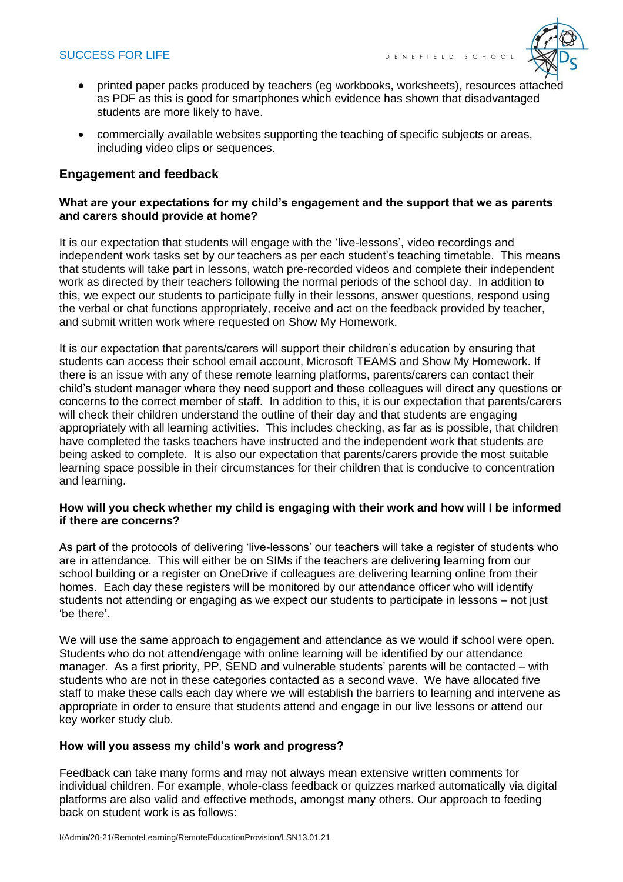# SUCCESS FOR LIFE  $\overline{D}$  energy  $\overline{D}$  between  $\overline{D}$  school



- printed paper packs produced by teachers (eg workbooks, worksheets), resources attached as PDF as this is good for smartphones which evidence has shown that disadvantaged students are more likely to have.
- commercially available websites supporting the teaching of specific subjects or areas, including video clips or sequences.

# **Engagement and feedback**

#### **What are your expectations for my child's engagement and the support that we as parents and carers should provide at home?**

It is our expectation that students will engage with the 'live-lessons', video recordings and independent work tasks set by our teachers as per each student's teaching timetable. This means that students will take part in lessons, watch pre-recorded videos and complete their independent work as directed by their teachers following the normal periods of the school day. In addition to this, we expect our students to participate fully in their lessons, answer questions, respond using the verbal or chat functions appropriately, receive and act on the feedback provided by teacher, and submit written work where requested on Show My Homework.

It is our expectation that parents/carers will support their children's education by ensuring that students can access their school email account, Microsoft TEAMS and Show My Homework. If there is an issue with any of these remote learning platforms, parents/carers can contact their child's student manager where they need support and these colleagues will direct any questions or concerns to the correct member of staff. In addition to this, it is our expectation that parents/carers will check their children understand the outline of their day and that students are engaging appropriately with all learning activities. This includes checking, as far as is possible, that children have completed the tasks teachers have instructed and the independent work that students are being asked to complete. It is also our expectation that parents/carers provide the most suitable learning space possible in their circumstances for their children that is conducive to concentration and learning.

#### **How will you check whether my child is engaging with their work and how will I be informed if there are concerns?**

As part of the protocols of delivering 'live-lessons' our teachers will take a register of students who are in attendance. This will either be on SIMs if the teachers are delivering learning from our school building or a register on OneDrive if colleagues are delivering learning online from their homes. Each day these registers will be monitored by our attendance officer who will identify students not attending or engaging as we expect our students to participate in lessons – not just 'be there'.

We will use the same approach to engagement and attendance as we would if school were open. Students who do not attend/engage with online learning will be identified by our attendance manager. As a first priority, PP, SEND and vulnerable students' parents will be contacted – with students who are not in these categories contacted as a second wave. We have allocated five staff to make these calls each day where we will establish the barriers to learning and intervene as appropriate in order to ensure that students attend and engage in our live lessons or attend our key worker study club.

#### **How will you assess my child's work and progress?**

Feedback can take many forms and may not always mean extensive written comments for individual children. For example, whole-class feedback or quizzes marked automatically via digital platforms are also valid and effective methods, amongst many others. Our approach to feeding back on student work is as follows: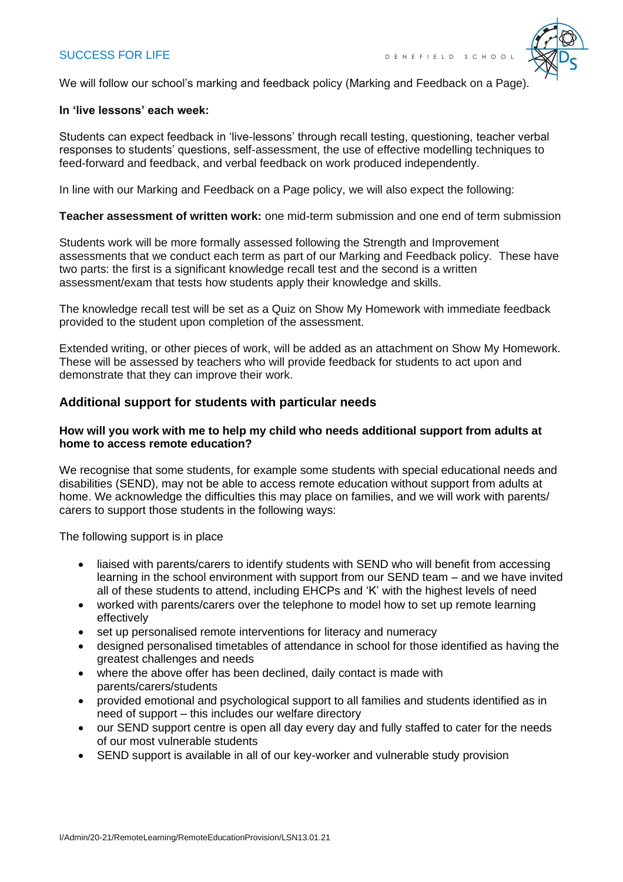# SUCCESS FOR LIFE **DE NET E EXECUTED** SCHOOL



We will follow our school's marking and feedback policy (Marking and Feedback on a Page).

#### **In 'live lessons' each week:**

Students can expect feedback in 'live-lessons' through recall testing, questioning, teacher verbal responses to students' questions, self-assessment, the use of effective modelling techniques to feed-forward and feedback, and verbal feedback on work produced independently.

In line with our Marking and Feedback on a Page policy, we will also expect the following:

#### **Teacher assessment of written work:** one mid-term submission and one end of term submission

Students work will be more formally assessed following the Strength and Improvement assessments that we conduct each term as part of our Marking and Feedback policy. These have two parts: the first is a significant knowledge recall test and the second is a written assessment/exam that tests how students apply their knowledge and skills.

The knowledge recall test will be set as a Quiz on Show My Homework with immediate feedback provided to the student upon completion of the assessment.

Extended writing, or other pieces of work, will be added as an attachment on Show My Homework. These will be assessed by teachers who will provide feedback for students to act upon and demonstrate that they can improve their work.

#### **Additional support for students with particular needs**

### **How will you work with me to help my child who needs additional support from adults at home to access remote education?**

We recognise that some students, for example some students with special educational needs and disabilities (SEND), may not be able to access remote education without support from adults at home. We acknowledge the difficulties this may place on families, and we will work with parents/ carers to support those students in the following ways:

The following support is in place

- liaised with parents/carers to identify students with SEND who will benefit from accessing learning in the school environment with support from our SEND team – and we have invited all of these students to attend, including EHCPs and 'K' with the highest levels of need
- worked with parents/carers over the telephone to model how to set up remote learning effectively
- set up personalised remote interventions for literacy and numeracy
- designed personalised timetables of attendance in school for those identified as having the greatest challenges and needs
- where the above offer has been declined, daily contact is made with parents/carers/students
- provided emotional and psychological support to all families and students identified as in need of support – this includes our welfare directory
- our SEND support centre is open all day every day and fully staffed to cater for the needs of our most vulnerable students
- SEND support is available in all of our key-worker and vulnerable study provision